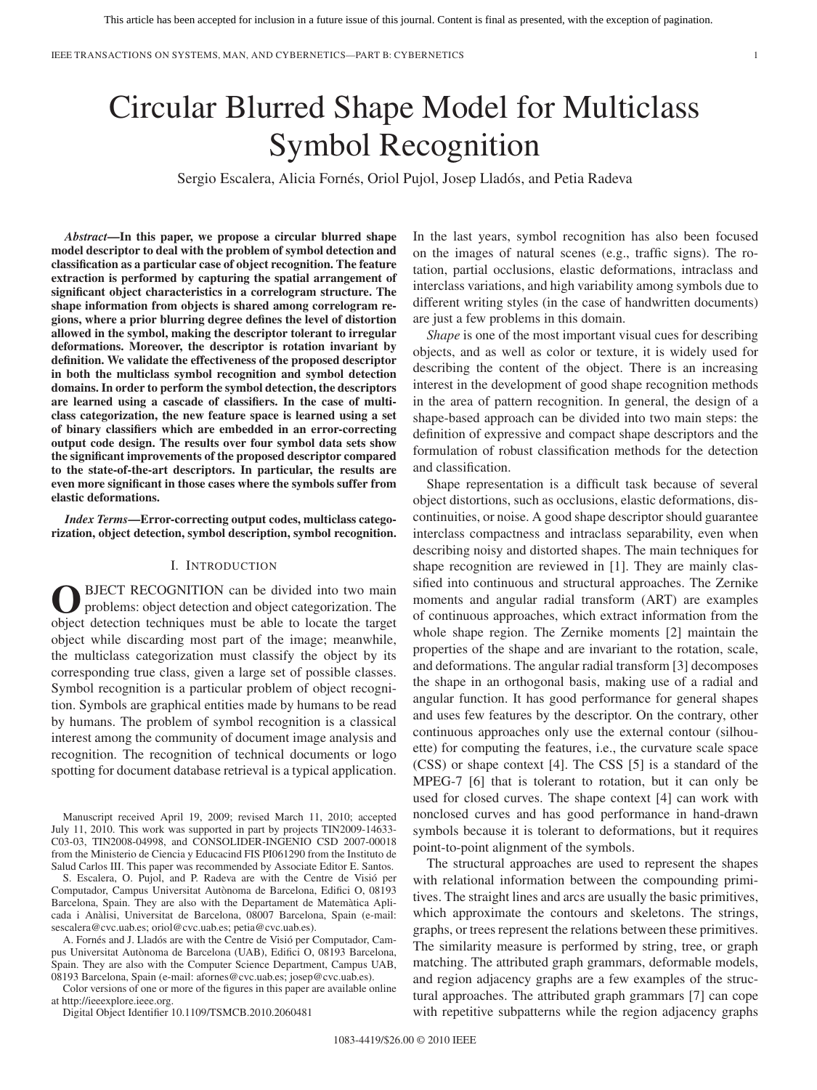# Circular Blurred Shape Model for Multiclass Symbol Recognition

Sergio Escalera, Alicia Fornés, Oriol Pujol, Josep Lladós, and Petia Radeva

*Abstract***—In this paper, we propose a circular blurred shape model descriptor to deal with the problem of symbol detection and classification as a particular case of object recognition. The feature extraction is performed by capturing the spatial arrangement of significant object characteristics in a correlogram structure. The shape information from objects is shared among correlogram regions, where a prior blurring degree defines the level of distortion allowed in the symbol, making the descriptor tolerant to irregular deformations. Moreover, the descriptor is rotation invariant by definition. We validate the effectiveness of the proposed descriptor in both the multiclass symbol recognition and symbol detection domains. In order to perform the symbol detection, the descriptors are learned using a cascade of classifiers. In the case of multiclass categorization, the new feature space is learned using a set of binary classifiers which are embedded in an error-correcting output code design. The results over four symbol data sets show the significant improvements of the proposed descriptor compared to the state-of-the-art descriptors. In particular, the results are even more significant in those cases where the symbols suffer from elastic deformations.**

*Index Terms***—Error-correcting output codes, multiclass categorization, object detection, symbol description, symbol recognition.**

## I. INTRODUCTION

BJECT RECOGNITION can be divided into two main problems: object detection and object categorization. The object detection techniques must be able to locate the target object while discarding most part of the image; meanwhile, the multiclass categorization must classify the object by its corresponding true class, given a large set of possible classes. Symbol recognition is a particular problem of object recognition. Symbols are graphical entities made by humans to be read by humans. The problem of symbol recognition is a classical interest among the community of document image analysis and recognition. The recognition of technical documents or logo spotting for document database retrieval is a typical application.

Manuscript received April 19, 2009; revised March 11, 2010; accepted July 11, 2010. This work was supported in part by projects TIN2009-14633- C03-03, TIN2008-04998, and CONSOLIDER-INGENIO CSD 2007-00018 from the Ministerio de Ciencia y Educacind FIS PI061290 from the Instituto de Salud Carlos III. This paper was recommended by Associate Editor E. Santos.

S. Escalera, O. Pujol, and P. Radeva are with the Centre de Visió per Computador, Campus Universitat Autònoma de Barcelona, Edifici O, 08193 Barcelona, Spain. They are also with the Departament de Matemàtica Aplicada i Anàlisi, Universitat de Barcelona, 08007 Barcelona, Spain (e-mail: sescalera@cvc.uab.es; oriol@cvc.uab.es; petia@cvc.uab.es).

A. Fornés and J. Lladós are with the Centre de Visió per Computador, Campus Universitat Autònoma de Barcelona (UAB), Edifici O, 08193 Barcelona, Spain. They are also with the Computer Science Department, Campus UAB, 08193 Barcelona, Spain (e-mail: afornes@cvc.uab.es; josep@cvc.uab.es).

Color versions of one or more of the figures in this paper are available online at http://ieeexplore.ieee.org.

Digital Object Identifier 10.1109/TSMCB.2010.2060481

In the last years, symbol recognition has also been focused on the images of natural scenes (e.g., traffic signs). The rotation, partial occlusions, elastic deformations, intraclass and interclass variations, and high variability among symbols due to different writing styles (in the case of handwritten documents) are just a few problems in this domain.

*Shape* is one of the most important visual cues for describing objects, and as well as color or texture, it is widely used for describing the content of the object. There is an increasing interest in the development of good shape recognition methods in the area of pattern recognition. In general, the design of a shape-based approach can be divided into two main steps: the definition of expressive and compact shape descriptors and the formulation of robust classification methods for the detection and classification.

Shape representation is a difficult task because of several object distortions, such as occlusions, elastic deformations, discontinuities, or noise. A good shape descriptor should guarantee interclass compactness and intraclass separability, even when describing noisy and distorted shapes. The main techniques for shape recognition are reviewed in [1]. They are mainly classified into continuous and structural approaches. The Zernike moments and angular radial transform (ART) are examples of continuous approaches, which extract information from the whole shape region. The Zernike moments [2] maintain the properties of the shape and are invariant to the rotation, scale, and deformations. The angular radial transform [3] decomposes the shape in an orthogonal basis, making use of a radial and angular function. It has good performance for general shapes and uses few features by the descriptor. On the contrary, other continuous approaches only use the external contour (silhouette) for computing the features, i.e., the curvature scale space (CSS) or shape context [4]. The CSS [5] is a standard of the MPEG-7 [6] that is tolerant to rotation, but it can only be used for closed curves. The shape context [4] can work with nonclosed curves and has good performance in hand-drawn symbols because it is tolerant to deformations, but it requires point-to-point alignment of the symbols.

The structural approaches are used to represent the shapes with relational information between the compounding primitives. The straight lines and arcs are usually the basic primitives, which approximate the contours and skeletons. The strings, graphs, or trees represent the relations between these primitives. The similarity measure is performed by string, tree, or graph matching. The attributed graph grammars, deformable models, and region adjacency graphs are a few examples of the structural approaches. The attributed graph grammars [7] can cope with repetitive subpatterns while the region adjacency graphs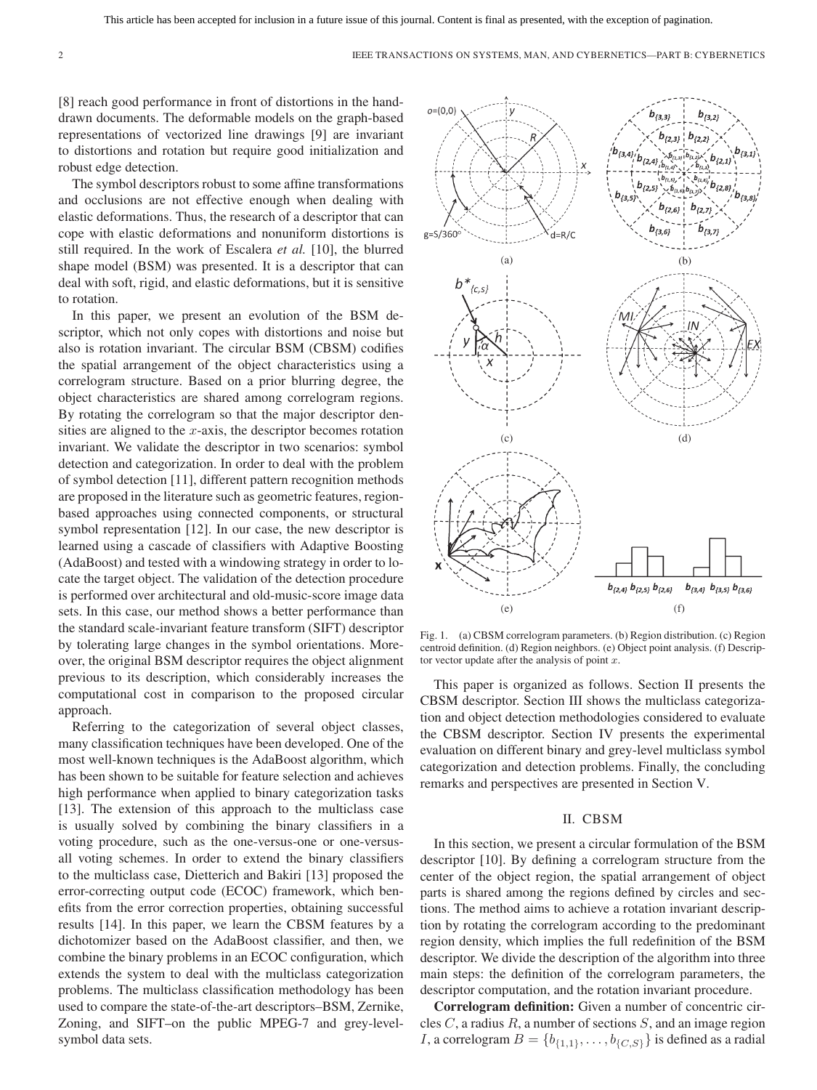[8] reach good performance in front of distortions in the handdrawn documents. The deformable models on the graph-based representations of vectorized line drawings [9] are invariant to distortions and rotation but require good initialization and robust edge detection.

The symbol descriptors robust to some affine transformations and occlusions are not effective enough when dealing with elastic deformations. Thus, the research of a descriptor that can cope with elastic deformations and nonuniform distortions is still required. In the work of Escalera *et al.* [10], the blurred shape model (BSM) was presented. It is a descriptor that can deal with soft, rigid, and elastic deformations, but it is sensitive to rotation.

In this paper, we present an evolution of the BSM descriptor, which not only copes with distortions and noise but also is rotation invariant. The circular BSM (CBSM) codifies the spatial arrangement of the object characteristics using a correlogram structure. Based on a prior blurring degree, the object characteristics are shared among correlogram regions. By rotating the correlogram so that the major descriptor densities are aligned to the  $x$ -axis, the descriptor becomes rotation invariant. We validate the descriptor in two scenarios: symbol detection and categorization. In order to deal with the problem of symbol detection [11], different pattern recognition methods are proposed in the literature such as geometric features, regionbased approaches using connected components, or structural symbol representation [12]. In our case, the new descriptor is learned using a cascade of classifiers with Adaptive Boosting (AdaBoost) and tested with a windowing strategy in order to locate the target object. The validation of the detection procedure is performed over architectural and old-music-score image data sets. In this case, our method shows a better performance than the standard scale-invariant feature transform (SIFT) descriptor by tolerating large changes in the symbol orientations. Moreover, the original BSM descriptor requires the object alignment previous to its description, which considerably increases the computational cost in comparison to the proposed circular approach.

Referring to the categorization of several object classes, many classification techniques have been developed. One of the most well-known techniques is the AdaBoost algorithm, which has been shown to be suitable for feature selection and achieves high performance when applied to binary categorization tasks [13]. The extension of this approach to the multiclass case is usually solved by combining the binary classifiers in a voting procedure, such as the one-versus-one or one-versusall voting schemes. In order to extend the binary classifiers to the multiclass case, Dietterich and Bakiri [13] proposed the error-correcting output code (ECOC) framework, which benefits from the error correction properties, obtaining successful results [14]. In this paper, we learn the CBSM features by a dichotomizer based on the AdaBoost classifier, and then, we combine the binary problems in an ECOC configuration, which extends the system to deal with the multiclass categorization problems. The multiclass classification methodology has been used to compare the state-of-the-art descriptors–BSM, Zernike, Zoning, and SIFT–on the public MPEG-7 and grey-levelsymbol data sets.



Fig. 1. (a) CBSM correlogram parameters. (b) Region distribution. (c) Region centroid definition. (d) Region neighbors. (e) Object point analysis. (f) Descriptor vector update after the analysis of point *x*.

This paper is organized as follows. Section II presents the CBSM descriptor. Section III shows the multiclass categorization and object detection methodologies considered to evaluate the CBSM descriptor. Section IV presents the experimental evaluation on different binary and grey-level multiclass symbol categorization and detection problems. Finally, the concluding remarks and perspectives are presented in Section V.

## II. CBSM

In this section, we present a circular formulation of the BSM descriptor [10]. By defining a correlogram structure from the center of the object region, the spatial arrangement of object parts is shared among the regions defined by circles and sections. The method aims to achieve a rotation invariant description by rotating the correlogram according to the predominant region density, which implies the full redefinition of the BSM descriptor. We divide the description of the algorithm into three main steps: the definition of the correlogram parameters, the descriptor computation, and the rotation invariant procedure.

**Correlogram definition:** Given a number of concentric circles  $C$ , a radius  $R$ , a number of sections  $S$ , and an image region *I*, a correlogram  $B = \{b_{\{1,1\}}, \ldots, b_{\{C,S\}}\}$  is defined as a radial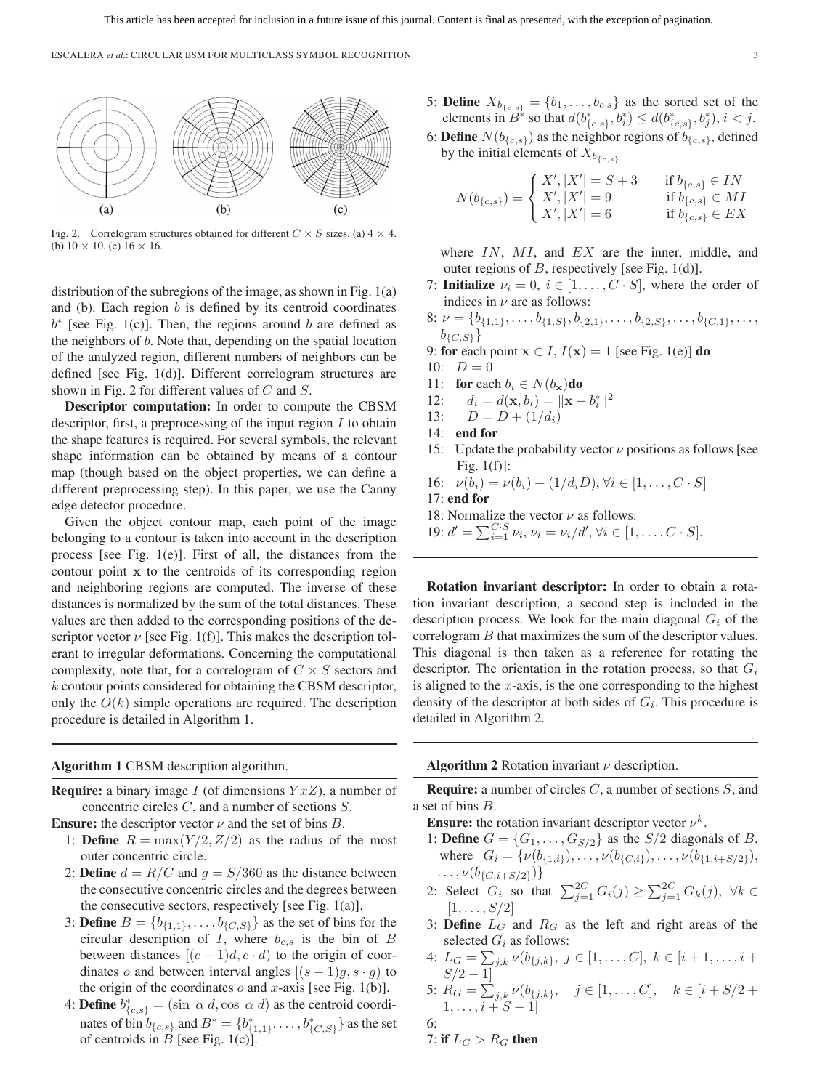

Fig. 2. Correlogram structures obtained for different  $C \times S$  sizes. (a)  $4 \times 4$ . (b) 10 *×* 10. (c) 16 *×* 16.

distribution of the subregions of the image, as shown in Fig. 1(a) and (b). Each region  $b$  is defined by its centroid coordinates  $b<sup>*</sup>$  [see Fig. 1(c)]. Then, the regions around b are defined as the neighbors of b. Note that, depending on the spatial location of the analyzed region, different numbers of neighbors can be defined [see Fig. 1(d)]. Different correlogram structures are shown in Fig. 2 for different values of  $C$  and  $S$ .

**Descriptor computation:** In order to compute the CBSM descriptor, first, a preprocessing of the input region  $I$  to obtain the shape features is required. For several symbols, the relevant shape information can be obtained by means of a contour map (though based on the object properties, we can define a different preprocessing step). In this paper, we use the Canny edge detector procedure.

Given the object contour map, each point of the image belonging to a contour is taken into account in the description process [see Fig. 1(e)]. First of all, the distances from the contour point **x** to the centroids of its corresponding region and neighboring regions are computed. The inverse of these distances is normalized by the sum of the total distances. These values are then added to the corresponding positions of the descriptor vector  $\nu$  [see Fig. 1(f)]. This makes the description tolerant to irregular deformations. Concerning the computational complexity, note that, for a correlogram of  $C \times S$  sectors and  $k$  contour points considered for obtaining the CBSM descriptor, only the  $O(k)$  simple operations are required. The description procedure is detailed in Algorithm 1.

### **Algorithm 1** CBSM description algorithm.

**Require:** a binary image  $I$  (of dimensions  $YxZ$ ), a number of concentric circles C, and a number of sections S.

**Ensure:** the descriptor vector  $\nu$  and the set of bins  $B$ .

- 1: **Define**  $R = \max(Y/2, Z/2)$  as the radius of the most outer concentric circle.
- 2: **Define**  $d = R/C$  and  $g = S/360$  as the distance between the consecutive concentric circles and the degrees between the consecutive sectors, respectively [see Fig. 1(a)].
- 3: **Define**  $B = \{b_{\{1,1\}}, \ldots, b_{\{C,S\}}\}$  as the set of bins for the circular description of I, where  $b_{c,s}$  is the bin of B between distances  $[(c-1)d, c \cdot d)$  to the origin of coordinates o and between interval angles  $[(s-1)g, s \cdot g]$  to the origin of the coordinates  $o$  and  $x$ -axis [see Fig. 1(b)].
- 4: **Define**  $b_{\{c,s\}}^* = (\sin \alpha \, d, \cos \alpha \, d)$  as the centroid coordinates of  $\overline{b}$  in  $b_{\{c,s\}}$  and  $B^* = \{b_{\{1,1\}}^*, \ldots, b_{\{C,S\}}^*\}$  as the set of centroids in  $\overrightarrow{B}$  [see Fig. 1(c)].
- 5: **Define**  $X_{b_{\{c,s\}}} = \{b_1, \ldots, b_{c\cdot s}\}$  as the sorted set of the elements in  $B^*$  so that  $d(b_{\{c,s\}}^*, b_i^*) \leq d(b_{\{c,s\}}^*, b_j^*)$ ,  $i < j$ .
- 6: **Define**  $N(b_{\{c,s\}})$  as the neighbor regions of  $b_{\{c,s\}}$ , defined by the initial elements of X*b{c,s}*

$$
N(b_{\{c,s\}}) = \begin{cases} X', |X'| = S + 3 & \text{if } b_{\{c,s\}} \in IN \\ X', |X'| = 9 & \text{if } b_{\{c,s\}} \in MI \\ X', |X'| = 6 & \text{if } b_{\{c,s\}} \in EX \end{cases}
$$

where  $IN$ ,  $MI$ , and  $EX$  are the inner, middle, and outer regions of  $B$ , respectively [see Fig. 1(d)].

- 7: **Initialize**  $\nu_i = 0$ ,  $i \in [1, \ldots, C \cdot S]$ , where the order of indices in  $\nu$  are as follows:
- 8:  $\nu = \{b_{\{1,1\}}, \ldots, b_{\{1,S\}}, b_{\{2,1\}}, \ldots, b_{\{2,S\}}, \ldots, b_{\{C,1\}}, \ldots,$  $b_{\{C,S\}}\}$
- 9: **for** each point  $\mathbf{x} \in I$ ,  $I(\mathbf{x}) = 1$  [see Fig. 1(e)] **do**
- 10:  $D = 0$
- 11: **for** each  $b_i \in N(b_{\mathbf{x}})$ **do**
- 12:  $d_i = d(\mathbf{x}, b_i) = ||\mathbf{x} b_i^*||^2$
- 13:  $D = D + (1/d_i)$
- 14: **end for**
- 15: Update the probability vector  $\nu$  positions as follows [see Fig. 1(f)]:

16: 
$$
\nu(b_i) = \nu(b_i) + (1/d_i D), \forall i \in [1, ..., C \cdot S]
$$

17: **end for**

18: Normalize the vector 
$$
\nu
$$
 as follows:  
19:  $d' = \sum_{i=1}^{C \cdot S} \nu_i$ ,  $\nu_i = \nu_i/d'$ ,  $\forall i \in [1, ..., C \cdot S]$ .

**Rotation invariant descriptor:** In order to obtain a rotation invariant description, a second step is included in the description process. We look for the main diagonal G*<sup>i</sup>* of the correlogram B that maximizes the sum of the descriptor values. This diagonal is then taken as a reference for rotating the descriptor. The orientation in the rotation process, so that G*<sup>i</sup>* is aligned to the  $x$ -axis, is the one corresponding to the highest density of the descriptor at both sides of G*i*. This procedure is detailed in Algorithm 2.

**Algorithm 2** Rotation invariant  $\nu$  description.

**Require:** a number of circles C, a number of sections S, and a set of bins B.

**Ensure:** the rotation invariant descriptor vector  $\nu^k$ .

- 1: **Define**  $G = \{G_1, \ldots, G_{S/2}\}\$ as the  $S/2$  diagonals of B, where  $G_i = \{ \nu(b_{\{1,i\}}), \ldots, \nu(b_{\{C,i\}}), \ldots, \nu(b_{\{1,i+S/2\}}), \ldots, \nu(b_{\{N\}}), \ldots, \nu(b_{\{N\}}), \ldots, \nu(b_{\{N\}}), \ldots, \nu(b_{\{N\}}), \ldots, \nu(b_{\{N\}}), \ldots, \nu(b_{\{N\}}), \ldots, \nu(b_{\{N\}}), \ldots, \nu(b_{\{N\}}), \ldots, \nu(b_{\{N\}}), \ldots, \nu(b_{\{N\}}), \ldots, \nu(b_{\{N\}}), \ldots, \nu(b_{\{N$  $\ldots, \nu(b_{\{C,i+S/2\}})\}$
- 2: Select  $G_i$  so that  $\sum_{j=1}^{2C} G_i(j) \ge \sum_{j=1}^{2C} G_k(j)$ ,  $\forall k \in$  $[1, \ldots, S/2]$
- 3: **Define** L*<sup>G</sup>* and R*<sup>G</sup>* as the left and right areas of the selected G*<sup>i</sup>* as follows:
- 4:  $L_G = \sum_{j,k} \nu(b_{\{j,k\}}, j \in [1, \ldots, C], k \in [i+1, \ldots, i+1]$  $S/2 - 1$ ]

5: 
$$
R_G = \sum_{j,k} \nu(b_{\{j,k\}}, \quad j \in [1, \ldots, C], \quad k \in [i + S/2 + 1, \ldots, i + S - 1]
$$

$$
\frac{6}{7} \cdot 6 = 7
$$

7: **if**  $L_G > R_G$  **then**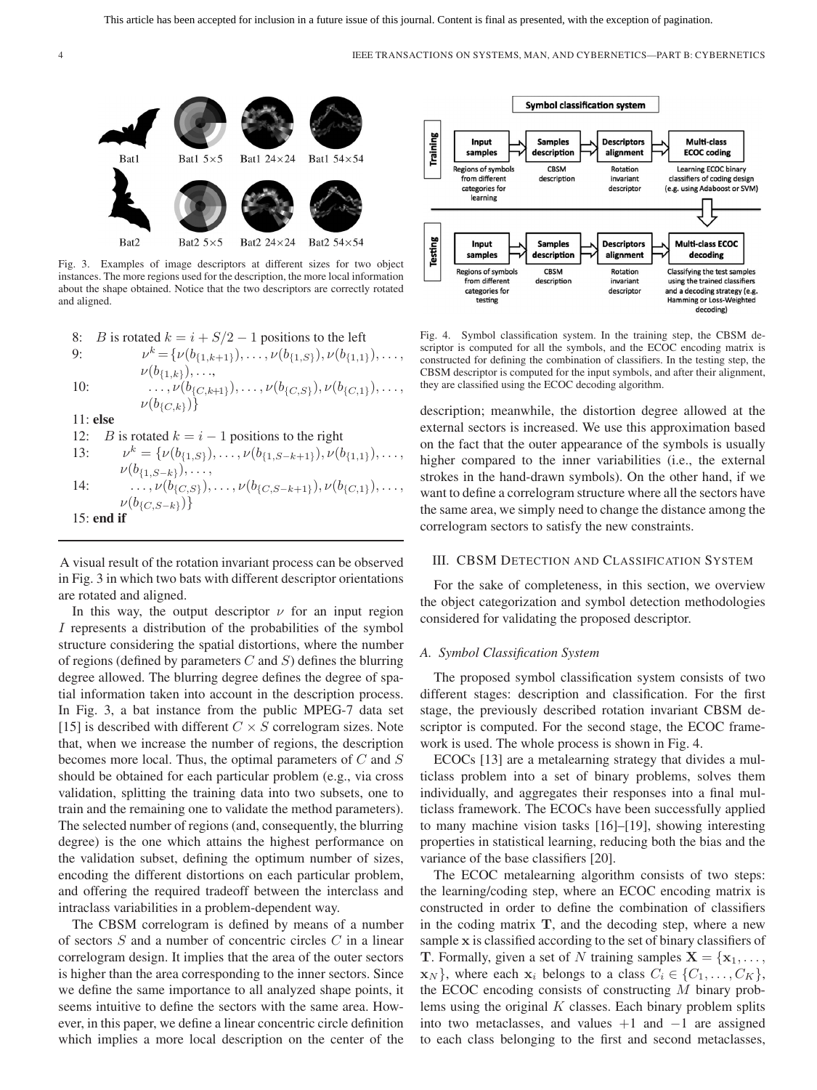

Fig. 3. Examples of image descriptors at different sizes for two object instances. The more regions used for the description, the more local information about the shape obtained. Notice that the two descriptors are correctly rotated and aligned.

8: *B* is rotated 
$$
k = i + S/2 - 1
$$
 positions to the left  
\n9:  $\nu^k = {\nu(b_{\{1,k+1\}}), \dots, \nu(b_{\{1,S\}}), \nu(b_{\{1,1\}}), \dots, \nu(b_{\{1,k\}}), \dots, \nu(b_{\{C,k+1\}}), \dots, \nu(b_{\{C,S\}}), \nu(b_{\{C,1\}}), \dots, \nu(b_{\{C,k\}})}$   
\n10:  $\dots, \nu(b_{\{C,k+1\}}), \dots, \nu(b_{\{C,S\}}), \nu(b_{\{C,1\}}), \dots, \nu(b_{\{L\},S})$   
\n11: **else**  
\n12: *B* is rotated  $k = i - 1$  positions to the right  
\n13:  $\nu^k = {\nu(b_{\{1,S\}}, \dots, \nu(b_{\{1,S-k+1\}}), \nu(b_{\{1,1\}}), \dots, \nu(b_{\{C,S-k\}}), \dots, \nu(b_{\{C,S-k\}})}$   
\n14:  $\dots, \nu(b_{\{C,S\}}), \dots, \nu(b_{\{C,S-k+1\}}, \nu(b_{\{C,1\}}), \dots, \nu(b_{\{C,S-k\}})$   
\n15: **end if**

A visual result of the rotation invariant process can be observed in Fig. 3 in which two bats with different descriptor orientations are rotated and aligned.

In this way, the output descriptor  $\nu$  for an input region I represents a distribution of the probabilities of the symbol structure considering the spatial distortions, where the number of regions (defined by parameters  $C$  and  $S$ ) defines the blurring degree allowed. The blurring degree defines the degree of spatial information taken into account in the description process. In Fig. 3, a bat instance from the public MPEG-7 data set [15] is described with different  $C \times S$  correlogram sizes. Note that, when we increase the number of regions, the description becomes more local. Thus, the optimal parameters of C and S should be obtained for each particular problem (e.g., via cross validation, splitting the training data into two subsets, one to train and the remaining one to validate the method parameters). The selected number of regions (and, consequently, the blurring degree) is the one which attains the highest performance on the validation subset, defining the optimum number of sizes, encoding the different distortions on each particular problem, and offering the required tradeoff between the interclass and intraclass variabilities in a problem-dependent way.

The CBSM correlogram is defined by means of a number of sectors S and a number of concentric circles C in a linear correlogram design. It implies that the area of the outer sectors is higher than the area corresponding to the inner sectors. Since we define the same importance to all analyzed shape points, it seems intuitive to define the sectors with the same area. However, in this paper, we define a linear concentric circle definition which implies a more local description on the center of the



Fig. 4. Symbol classification system. In the training step, the CBSM descriptor is computed for all the symbols, and the ECOC encoding matrix is constructed for defining the combination of classifiers. In the testing step, the CBSM descriptor is computed for the input symbols, and after their alignment, they are classified using the ECOC decoding algorithm.

description; meanwhile, the distortion degree allowed at the external sectors is increased. We use this approximation based on the fact that the outer appearance of the symbols is usually higher compared to the inner variabilities (i.e., the external strokes in the hand-drawn symbols). On the other hand, if we want to define a correlogram structure where all the sectors have the same area, we simply need to change the distance among the correlogram sectors to satisfy the new constraints.

## III. CBSM DETECTION AND CLASSIFICATION SYSTEM

For the sake of completeness, in this section, we overview the object categorization and symbol detection methodologies considered for validating the proposed descriptor.

#### *A. Symbol Classification System*

The proposed symbol classification system consists of two different stages: description and classification. For the first stage, the previously described rotation invariant CBSM descriptor is computed. For the second stage, the ECOC framework is used. The whole process is shown in Fig. 4.

ECOCs [13] are a metalearning strategy that divides a multiclass problem into a set of binary problems, solves them individually, and aggregates their responses into a final multiclass framework. The ECOCs have been successfully applied to many machine vision tasks [16]–[19], showing interesting properties in statistical learning, reducing both the bias and the variance of the base classifiers [20].

The ECOC metalearning algorithm consists of two steps: the learning/coding step, where an ECOC encoding matrix is constructed in order to define the combination of classifiers in the coding matrix **T**, and the decoding step, where a new sample **x** is classified according to the set of binary classifiers of **T**. Formally, given a set of N training samples  $X = \{x_1, \ldots, x_n\}$  $\mathbf{x}_N$ }, where each  $\mathbf{x}_i$  belongs to a class  $C_i \in \{C_1, \ldots, C_K\}$ , the ECOC encoding consists of constructing M binary problems using the original  $K$  classes. Each binary problem splits into two metaclasses, and values  $+1$  and  $-1$  are assigned to each class belonging to the first and second metaclasses,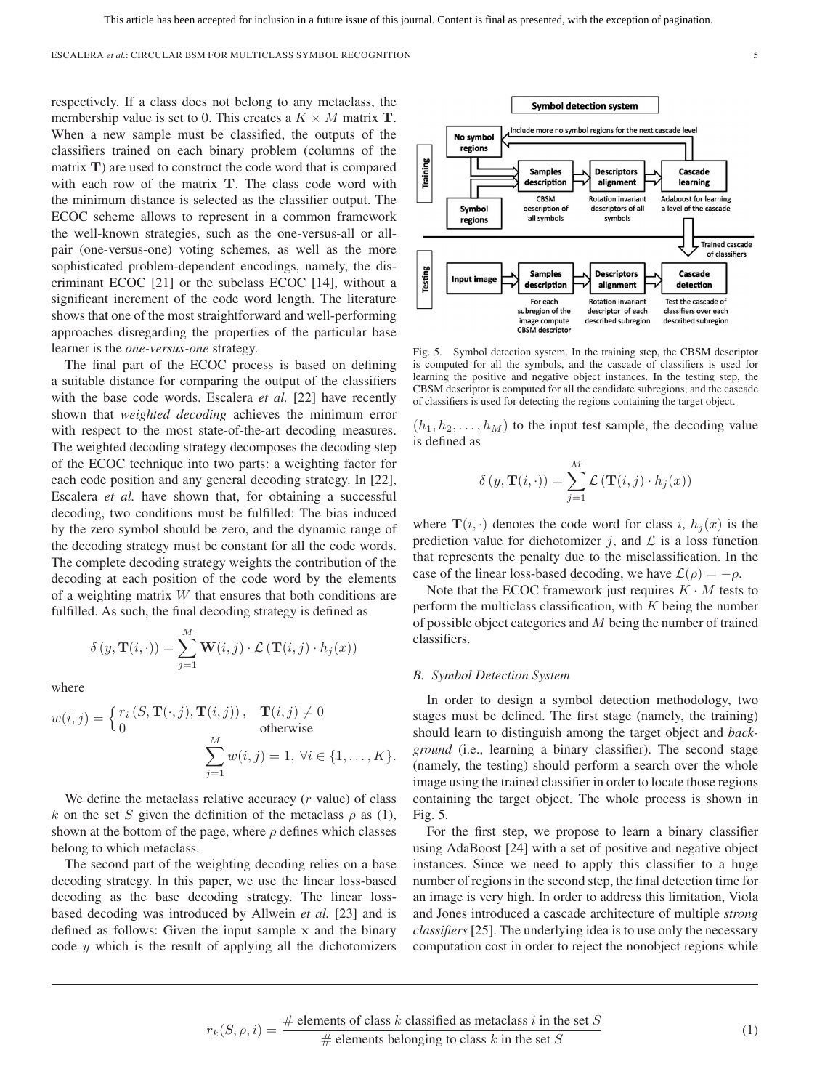respectively. If a class does not belong to any metaclass, the membership value is set to 0. This creates a  $K \times M$  matrix **T**. When a new sample must be classified, the outputs of the classifiers trained on each binary problem (columns of the matrix **T**) are used to construct the code word that is compared with each row of the matrix **T**. The class code word with the minimum distance is selected as the classifier output. The ECOC scheme allows to represent in a common framework the well-known strategies, such as the one-versus-all or allpair (one-versus-one) voting schemes, as well as the more sophisticated problem-dependent encodings, namely, the discriminant ECOC [21] or the subclass ECOC [14], without a significant increment of the code word length. The literature shows that one of the most straightforward and well-performing approaches disregarding the properties of the particular base learner is the *one-versus-one* strategy.

The final part of the ECOC process is based on defining a suitable distance for comparing the output of the classifiers with the base code words. Escalera *et al.* [22] have recently shown that *weighted decoding* achieves the minimum error with respect to the most state-of-the-art decoding measures. The weighted decoding strategy decomposes the decoding step of the ECOC technique into two parts: a weighting factor for each code position and any general decoding strategy. In [22], Escalera *et al.* have shown that, for obtaining a successful decoding, two conditions must be fulfilled: The bias induced by the zero symbol should be zero, and the dynamic range of the decoding strategy must be constant for all the code words. The complete decoding strategy weights the contribution of the decoding at each position of the code word by the elements of a weighting matrix  $W$  that ensures that both conditions are fulfilled. As such, the final decoding strategy is defined as

$$
\delta(y, \mathbf{T}(i, \cdot)) = \sum_{j=1}^{M} \mathbf{W}(i, j) \cdot \mathcal{L}(\mathbf{T}(i, j) \cdot h_j(x))
$$

where

$$
w(i,j) = \begin{cases} r_i(S, \mathbf{T}(\cdot, j), \mathbf{T}(i, j)), & \mathbf{T}(i, j) \neq 0 \\ 0 & \text{otherwise} \end{cases}
$$

$$
\sum_{j=1}^{M} w(i,j) = 1, \forall i \in \{1, ..., K\}.
$$

We define the metaclass relative accuracy  $(r \text{ value})$  of class k on the set S given the definition of the metaclass  $\rho$  as (1), shown at the bottom of the page, where  $\rho$  defines which classes belong to which metaclass.

The second part of the weighting decoding relies on a base decoding strategy. In this paper, we use the linear loss-based decoding as the base decoding strategy. The linear lossbased decoding was introduced by Allwein *et al.* [23] and is defined as follows: Given the input sample **x** and the binary code  $y$  which is the result of applying all the dichotomizers



Fig. 5. Symbol detection system. In the training step, the CBSM descriptor is computed for all the symbols, and the cascade of classifiers is used for learning the positive and negative object instances. In the testing step, the CBSM descriptor is computed for all the candidate subregions, and the cascade of classifiers is used for detecting the regions containing the target object.

 $(h_1, h_2, \ldots, h_M)$  to the input test sample, the decoding value is defined as

$$
\delta(y, \mathbf{T}(i, \cdot)) = \sum_{j=1}^{M} \mathcal{L} (\mathbf{T}(i, j) \cdot h_j(x))
$$

where  $\mathbf{T}(i, \cdot)$  denotes the code word for class i,  $h_i(x)$  is the prediction value for dichotomizer j, and  $\mathcal L$  is a loss function that represents the penalty due to the misclassification. In the case of the linear loss-based decoding, we have  $\mathcal{L}(\rho) = -\rho$ .

Note that the ECOC framework just requires  $K \cdot M$  tests to perform the multiclass classification, with  $K$  being the number of possible object categories and  $M$  being the number of trained classifiers.

## *B. Symbol Detection System*

In order to design a symbol detection methodology, two stages must be defined. The first stage (namely, the training) should learn to distinguish among the target object and *background* (i.e., learning a binary classifier). The second stage (namely, the testing) should perform a search over the whole image using the trained classifier in order to locate those regions containing the target object. The whole process is shown in Fig. 5.

For the first step, we propose to learn a binary classifier using AdaBoost [24] with a set of positive and negative object instances. Since we need to apply this classifier to a huge number of regions in the second step, the final detection time for an image is very high. In order to address this limitation, Viola and Jones introduced a cascade architecture of multiple *strong classifiers* [25]. The underlying idea is to use only the necessary computation cost in order to reject the nonobject regions while

$$
r_k(S, \rho, i) = \frac{\text{\# elements of class } k \text{ classified as metaclass } i \text{ in the set } S}{\text{\# elements belonging to class } k \text{ in the set } S}
$$
\n
$$
(1)
$$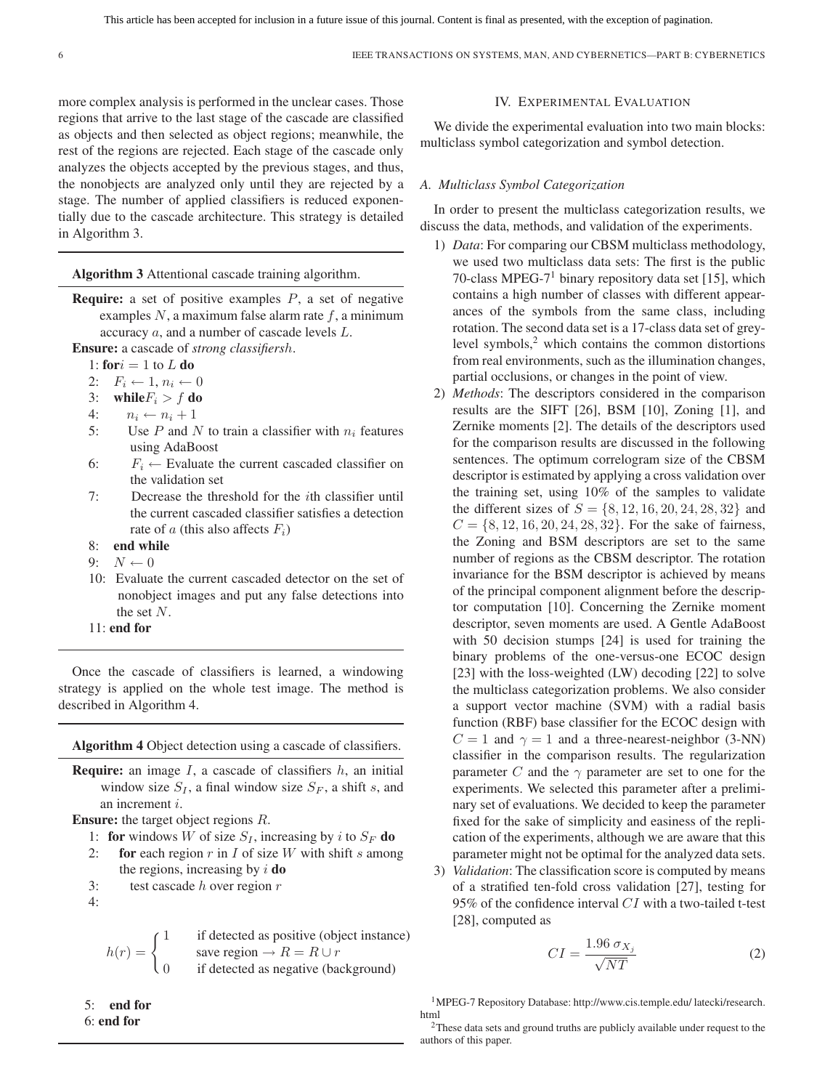more complex analysis is performed in the unclear cases. Those regions that arrive to the last stage of the cascade are classified as objects and then selected as object regions; meanwhile, the rest of the regions are rejected. Each stage of the cascade only analyzes the objects accepted by the previous stages, and thus, the nonobjects are analyzed only until they are rejected by a stage. The number of applied classifiers is reduced exponentially due to the cascade architecture. This strategy is detailed in Algorithm 3.

**Algorithm 3** Attentional cascade training algorithm.

**Require:** a set of positive examples P, a set of negative examples  $N$ , a maximum false alarm rate  $f$ , a minimum accuracy a, and a number of cascade levels L.

**Ensure:** a cascade of *strong classifiers*h.

- 1: **for** $i = 1$  to  $L$  **do**
- 2:  $F_i \leftarrow 1, n_i \leftarrow 0$
- 3: **while** $F_i > f$ **do**
- 4:  $n_i \leftarrow n_i + 1$
- 5: Use  $P$  and  $N$  to train a classifier with  $n_i$  features using AdaBoost
- 6:  $F_i \leftarrow$  Evaluate the current cascaded classifier on the validation set
- 7: Decrease the threshold for the ith classifier until the current cascaded classifier satisfies a detection rate of  $a$  (this also affects  $F_i$ )
- 8: **end while**
- 9:  $N \leftarrow 0$
- 10: Evaluate the current cascaded detector on the set of nonobject images and put any false detections into the set N.
- 11: **end for**

Once the cascade of classifiers is learned, a windowing strategy is applied on the whole test image. The method is described in Algorithm 4.

**Algorithm 4** Object detection using a cascade of classifiers.

**Require:** an image  $I$ , a cascade of classifiers  $h$ , an initial window size  $S_I$ , a final window size  $S_F$ , a shift s, and an increment i.

**Ensure:** the target object regions R.

- 1: **for** windows W of size  $S_I$ , increasing by i to  $S_F$  **do**
- 2: **for** each region  $r$  in  $I$  of size  $W$  with shift  $s$  among the regions, increasing by  $i$  **do**
- 3: test cascade  $h$  over region  $r$

4:

$$
h(r) = \begin{cases} 1 & \text{if detected as positive (object instance)} \\ & \text{save region} \rightarrow R = R \cup r \\ 0 & \text{if detected as negative (background)} \end{cases}
$$

IV. EXPERIMENTAL EVALUATION

We divide the experimental evaluation into two main blocks: multiclass symbol categorization and symbol detection.

## *A. Multiclass Symbol Categorization*

In order to present the multiclass categorization results, we discuss the data, methods, and validation of the experiments.

- 1) *Data*: For comparing our CBSM multiclass methodology, we used two multiclass data sets: The first is the public 70-class MPEG-7<sup>1</sup> binary repository data set [15], which contains a high number of classes with different appearances of the symbols from the same class, including rotation. The second data set is a 17-class data set of greylevel symbols, $2$  which contains the common distortions from real environments, such as the illumination changes, partial occlusions, or changes in the point of view.
- 2) *Methods*: The descriptors considered in the comparison results are the SIFT [26], BSM [10], Zoning [1], and Zernike moments [2]. The details of the descriptors used for the comparison results are discussed in the following sentences. The optimum correlogram size of the CBSM descriptor is estimated by applying a cross validation over the training set, using 10% of the samples to validate the different sizes of  $S = \{8, 12, 16, 20, 24, 28, 32\}$  and  $C = \{8, 12, 16, 20, 24, 28, 32\}$ . For the sake of fairness, the Zoning and BSM descriptors are set to the same number of regions as the CBSM descriptor. The rotation invariance for the BSM descriptor is achieved by means of the principal component alignment before the descriptor computation [10]. Concerning the Zernike moment descriptor, seven moments are used. A Gentle AdaBoost with 50 decision stumps [24] is used for training the binary problems of the one-versus-one ECOC design [23] with the loss-weighted (LW) decoding [22] to solve the multiclass categorization problems. We also consider a support vector machine (SVM) with a radial basis function (RBF) base classifier for the ECOC design with  $C = 1$  and  $\gamma = 1$  and a three-nearest-neighbor (3-NN) classifier in the comparison results. The regularization parameter C and the  $\gamma$  parameter are set to one for the experiments. We selected this parameter after a preliminary set of evaluations. We decided to keep the parameter fixed for the sake of simplicity and easiness of the replication of the experiments, although we are aware that this parameter might not be optimal for the analyzed data sets.
- 3) *Validation*: The classification score is computed by means of a stratified ten-fold cross validation [27], testing for 95% of the confidence interval  $CI$  with a two-tailed t-test [28], computed as

$$
CI = \frac{1.96 \sigma_{X_j}}{\sqrt{NT}}\tag{2}
$$

5: **end for** 6: **end for**

1MPEG-7 Repository Database: [http://www.cis.temple.edu/ latecki/research.](http://www.cis.temple.edu/ latecki/research.html) [html](http://www.cis.temple.edu/ latecki/research.html)

<sup>&</sup>lt;sup>2</sup>These data sets and ground truths are publicly available under request to the authors of this paper.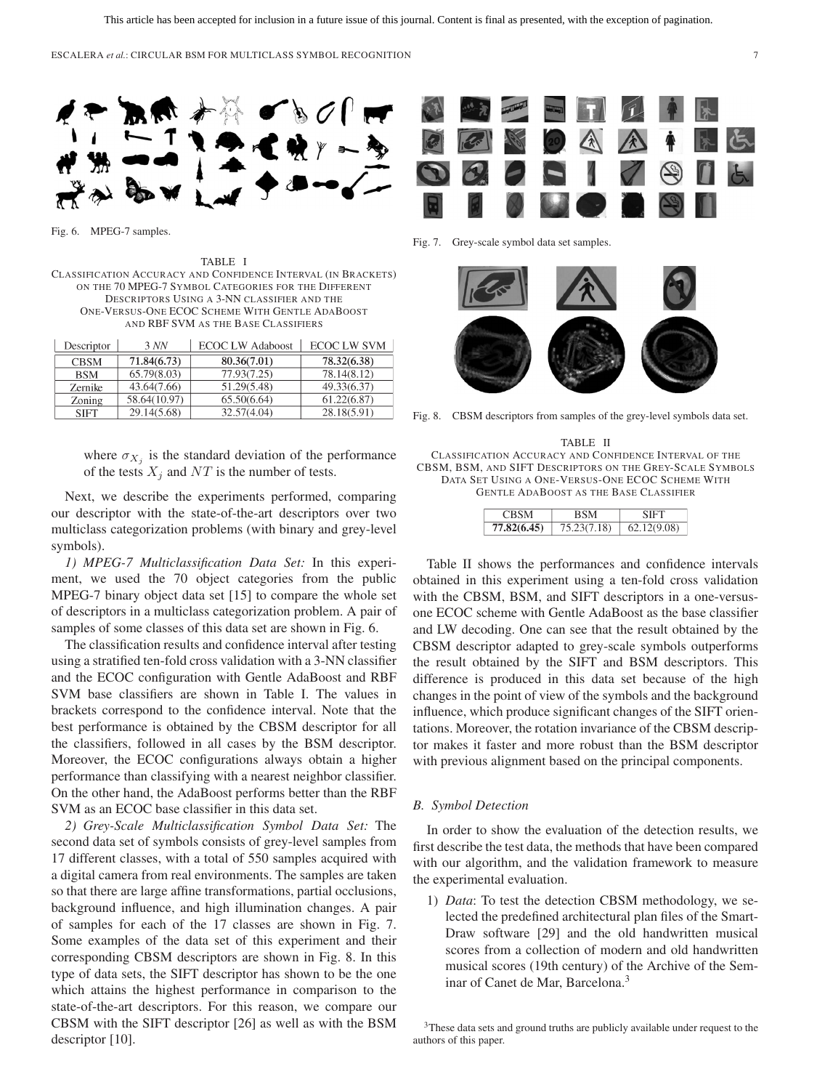

Fig. 6. MPEG-7 samples.

TABLE I CLASSIFICATION ACCURACY AND CONFIDENCE INTERVAL (IN BRACKETS) ON THE 70 MPEG-7 SYMBOL CATEGORIES FOR THE DIFFERENT DESCRIPTORS USING A 3-NN CLASSIFIER AND THE ONE-VERSUS-ONE ECOC SCHEME WITH GENTLE ADABOOST AND RBF SVM AS THE BASE CLASSIFIERS

| Descriptor  | 3 NN         | <b>ECOC LW Adaboost</b> | ECOC LW SVM |
|-------------|--------------|-------------------------|-------------|
| <b>CBSM</b> | 71.84(6.73)  | 80.36(7.01)             | 78.32(6.38) |
| <b>BSM</b>  | 65.79(8.03)  | 77.93(7.25)             | 78.14(8.12) |
| Zernike     | 43.64(7.66)  | 51.29(5.48)             | 49.33(6.37) |
| Zoning      | 58.64(10.97) | 65.50(6.64)             | 61.22(6.87) |
| <b>SIFT</b> | 29.14(5.68)  | 32.57(4.04)             | 28.18(5.91) |

where  $\sigma_{X_i}$  is the standard deviation of the performance of the tests  $X_j$  and  $NT$  is the number of tests.

Next, we describe the experiments performed, comparing our descriptor with the state-of-the-art descriptors over two multiclass categorization problems (with binary and grey-level symbols).

*1) MPEG-7 Multiclassification Data Set:* In this experiment, we used the 70 object categories from the public MPEG-7 binary object data set [15] to compare the whole set of descriptors in a multiclass categorization problem. A pair of samples of some classes of this data set are shown in Fig. 6.

The classification results and confidence interval after testing using a stratified ten-fold cross validation with a 3-NN classifier and the ECOC configuration with Gentle AdaBoost and RBF SVM base classifiers are shown in Table I. The values in brackets correspond to the confidence interval. Note that the best performance is obtained by the CBSM descriptor for all the classifiers, followed in all cases by the BSM descriptor. Moreover, the ECOC configurations always obtain a higher performance than classifying with a nearest neighbor classifier. On the other hand, the AdaBoost performs better than the RBF SVM as an ECOC base classifier in this data set.

*2) Grey-Scale Multiclassification Symbol Data Set:* The second data set of symbols consists of grey-level samples from 17 different classes, with a total of 550 samples acquired with a digital camera from real environments. The samples are taken so that there are large affine transformations, partial occlusions, background influence, and high illumination changes. A pair of samples for each of the 17 classes are shown in Fig. 7. Some examples of the data set of this experiment and their corresponding CBSM descriptors are shown in Fig. 8. In this type of data sets, the SIFT descriptor has shown to be the one which attains the highest performance in comparison to the state-of-the-art descriptors. For this reason, we compare our CBSM with the SIFT descriptor [26] as well as with the BSM descriptor [10].



Fig. 7. Grey-scale symbol data set samples.



Fig. 8. CBSM descriptors from samples of the grey-level symbols data set.

TABLE II CLASSIFICATION ACCURACY AND CONFIDENCE INTERVAL OF THE CBSM, BSM, AND SIFT DESCRIPTORS ON THE GREY-SCALE SYMBOLS DATA SET USING A ONE-VERSUS-ONE ECOC SCHEME WITH GENTLE ADABOOST AS THE BASE CLASSIFIER

| CBSM        | BSM         | <b>SIFT</b> |
|-------------|-------------|-------------|
| 77.82(6.45) | 75.23(7.18) | 62.12(9.08) |

Table II shows the performances and confidence intervals obtained in this experiment using a ten-fold cross validation with the CBSM, BSM, and SIFT descriptors in a one-versusone ECOC scheme with Gentle AdaBoost as the base classifier and LW decoding. One can see that the result obtained by the CBSM descriptor adapted to grey-scale symbols outperforms the result obtained by the SIFT and BSM descriptors. This difference is produced in this data set because of the high changes in the point of view of the symbols and the background influence, which produce significant changes of the SIFT orientations. Moreover, the rotation invariance of the CBSM descriptor makes it faster and more robust than the BSM descriptor with previous alignment based on the principal components.

#### *B. Symbol Detection*

In order to show the evaluation of the detection results, we first describe the test data, the methods that have been compared with our algorithm, and the validation framework to measure the experimental evaluation.

1) *Data*: To test the detection CBSM methodology, we selected the predefined architectural plan files of the Smart-Draw software [29] and the old handwritten musical scores from a collection of modern and old handwritten musical scores (19th century) of the Archive of the Seminar of Canet de Mar, Barcelona.<sup>3</sup>

<sup>&</sup>lt;sup>3</sup>These data sets and ground truths are publicly available under request to the authors of this paper.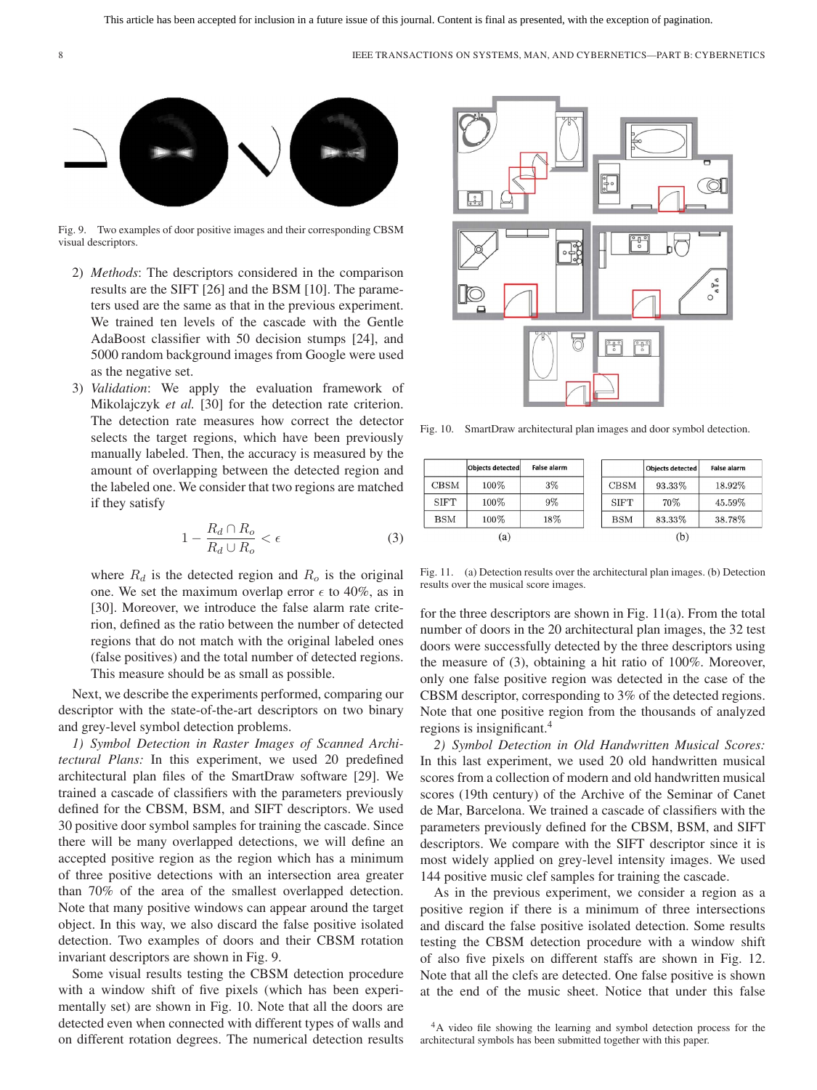

Fig. 9. Two examples of door positive images and their corresponding CBSM visual descriptors.

- 2) *Methods*: The descriptors considered in the comparison results are the SIFT [26] and the BSM [10]. The parameters used are the same as that in the previous experiment. We trained ten levels of the cascade with the Gentle AdaBoost classifier with 50 decision stumps [24], and 5000 random background images from Google were used as the negative set.
- 3) *Validation*: We apply the evaluation framework of Mikolajczyk *et al.* [30] for the detection rate criterion. The detection rate measures how correct the detector selects the target regions, which have been previously manually labeled. Then, the accuracy is measured by the amount of overlapping between the detected region and the labeled one. We consider that two regions are matched if they satisfy

$$
1 - \frac{R_d \cap R_o}{R_d \cup R_o} < \epsilon \tag{3}
$$

where  $R_d$  is the detected region and  $R_o$  is the original one. We set the maximum overlap error  $\epsilon$  to 40%, as in [30]. Moreover, we introduce the false alarm rate criterion, defined as the ratio between the number of detected regions that do not match with the original labeled ones (false positives) and the total number of detected regions. This measure should be as small as possible.

Next, we describe the experiments performed, comparing our descriptor with the state-of-the-art descriptors on two binary and grey-level symbol detection problems.

*1) Symbol Detection in Raster Images of Scanned Architectural Plans:* In this experiment, we used 20 predefined architectural plan files of the SmartDraw software [29]. We trained a cascade of classifiers with the parameters previously defined for the CBSM, BSM, and SIFT descriptors. We used 30 positive door symbol samples for training the cascade. Since there will be many overlapped detections, we will define an accepted positive region as the region which has a minimum of three positive detections with an intersection area greater than 70% of the area of the smallest overlapped detection. Note that many positive windows can appear around the target object. In this way, we also discard the false positive isolated detection. Two examples of doors and their CBSM rotation invariant descriptors are shown in Fig. 9.

Some visual results testing the CBSM detection procedure with a window shift of five pixels (which has been experimentally set) are shown in Fig. 10. Note that all the doors are detected even when connected with different types of walls and on different rotation degrees. The numerical detection results



Fig. 10. SmartDraw architectural plan images and door symbol detection.

|             | Objects detected | <b>False alarm</b> |     |             | <b>Objects detected</b> | <b>False alarm</b> |
|-------------|------------------|--------------------|-----|-------------|-------------------------|--------------------|
| <b>CBSM</b> | 100%             | 3%                 |     | <b>CBSM</b> | 93.33%                  | 18.92%             |
| <b>SIFT</b> | 100%             | 9%                 |     | <b>SIFT</b> | 70%                     | 45.59%             |
| <b>BSM</b>  | 100%             | 18%                |     | <b>BSM</b>  | 83.33%                  | 38.78%             |
| (a)         |                  |                    | (b) |             |                         |                    |

Fig. 11. (a) Detection results over the architectural plan images. (b) Detection results over the musical score images.

for the three descriptors are shown in Fig. 11(a). From the total number of doors in the 20 architectural plan images, the 32 test doors were successfully detected by the three descriptors using the measure of (3), obtaining a hit ratio of 100%. Moreover, only one false positive region was detected in the case of the CBSM descriptor, corresponding to 3% of the detected regions. Note that one positive region from the thousands of analyzed regions is insignificant.4

*2) Symbol Detection in Old Handwritten Musical Scores:* In this last experiment, we used 20 old handwritten musical scores from a collection of modern and old handwritten musical scores (19th century) of the Archive of the Seminar of Canet de Mar, Barcelona. We trained a cascade of classifiers with the parameters previously defined for the CBSM, BSM, and SIFT descriptors. We compare with the SIFT descriptor since it is most widely applied on grey-level intensity images. We used 144 positive music clef samples for training the cascade.

As in the previous experiment, we consider a region as a positive region if there is a minimum of three intersections and discard the false positive isolated detection. Some results testing the CBSM detection procedure with a window shift of also five pixels on different staffs are shown in Fig. 12. Note that all the clefs are detected. One false positive is shown at the end of the music sheet. Notice that under this false

4A video file showing the learning and symbol detection process for the architectural symbols has been submitted together with this paper.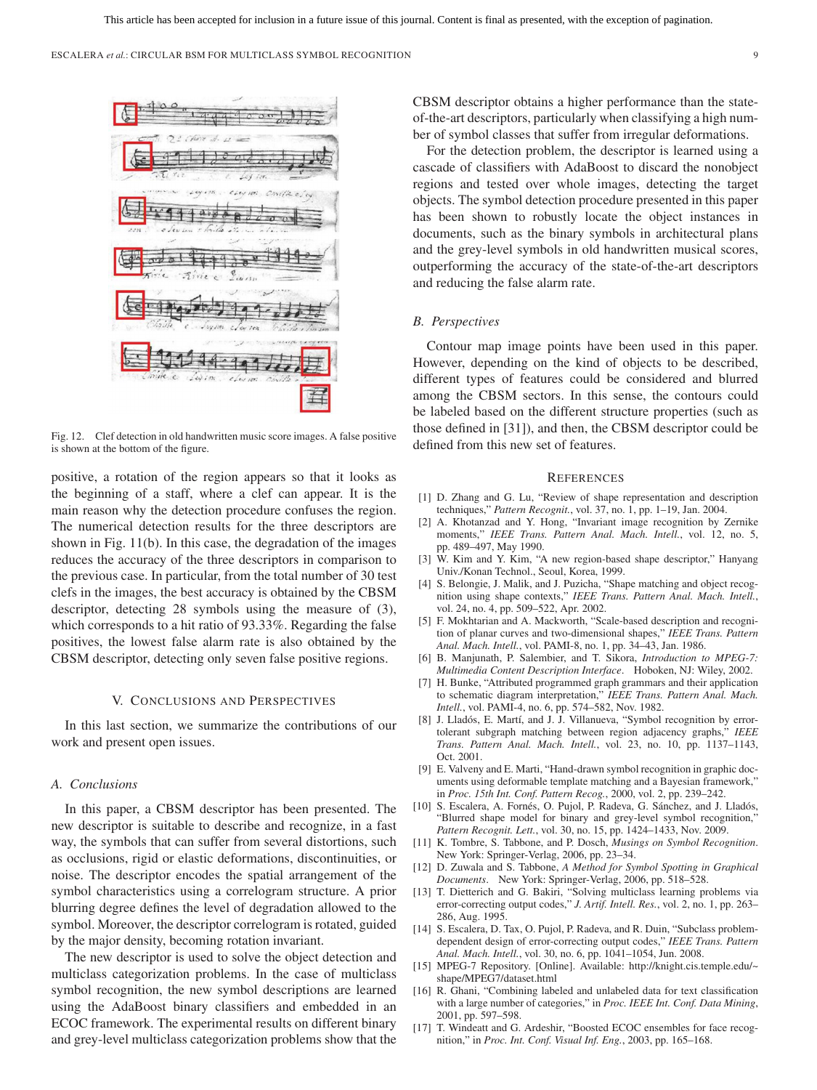

Fig. 12. Clef detection in old handwritten music score images. A false positive is shown at the bottom of the figure.

positive, a rotation of the region appears so that it looks as the beginning of a staff, where a clef can appear. It is the main reason why the detection procedure confuses the region. The numerical detection results for the three descriptors are shown in Fig. 11(b). In this case, the degradation of the images reduces the accuracy of the three descriptors in comparison to the previous case. In particular, from the total number of 30 test clefs in the images, the best accuracy is obtained by the CBSM descriptor, detecting 28 symbols using the measure of (3), which corresponds to a hit ratio of 93.33%. Regarding the false positives, the lowest false alarm rate is also obtained by the CBSM descriptor, detecting only seven false positive regions.

### V. CONCLUSIONS AND PERSPECTIVES

In this last section, we summarize the contributions of our work and present open issues.

## *A. Conclusions*

In this paper, a CBSM descriptor has been presented. The new descriptor is suitable to describe and recognize, in a fast way, the symbols that can suffer from several distortions, such as occlusions, rigid or elastic deformations, discontinuities, or noise. The descriptor encodes the spatial arrangement of the symbol characteristics using a correlogram structure. A prior blurring degree defines the level of degradation allowed to the symbol. Moreover, the descriptor correlogram is rotated, guided by the major density, becoming rotation invariant.

The new descriptor is used to solve the object detection and multiclass categorization problems. In the case of multiclass symbol recognition, the new symbol descriptions are learned using the AdaBoost binary classifiers and embedded in an ECOC framework. The experimental results on different binary and grey-level multiclass categorization problems show that the CBSM descriptor obtains a higher performance than the stateof-the-art descriptors, particularly when classifying a high number of symbol classes that suffer from irregular deformations.

For the detection problem, the descriptor is learned using a cascade of classifiers with AdaBoost to discard the nonobject regions and tested over whole images, detecting the target objects. The symbol detection procedure presented in this paper has been shown to robustly locate the object instances in documents, such as the binary symbols in architectural plans and the grey-level symbols in old handwritten musical scores, outperforming the accuracy of the state-of-the-art descriptors and reducing the false alarm rate.

#### *B. Perspectives*

Contour map image points have been used in this paper. However, depending on the kind of objects to be described, different types of features could be considered and blurred among the CBSM sectors. In this sense, the contours could be labeled based on the different structure properties (such as those defined in [31]), and then, the CBSM descriptor could be defined from this new set of features.

#### **REFERENCES**

- [1] D. Zhang and G. Lu, "Review of shape representation and description techniques," *Pattern Recognit.*, vol. 37, no. 1, pp. 1–19, Jan. 2004.
- [2] A. Khotanzad and Y. Hong, "Invariant image recognition by Zernike moments," *IEEE Trans. Pattern Anal. Mach. Intell.*, vol. 12, no. 5, pp. 489–497, May 1990.
- [3] W. Kim and Y. Kim, "A new region-based shape descriptor," Hanyang Univ./Konan Technol., Seoul, Korea, 1999.
- [4] S. Belongie, J. Malik, and J. Puzicha, "Shape matching and object recognition using shape contexts," *IEEE Trans. Pattern Anal. Mach. Intell.*, vol. 24, no. 4, pp. 509–522, Apr. 2002.
- [5] F. Mokhtarian and A. Mackworth, "Scale-based description and recognition of planar curves and two-dimensional shapes," *IEEE Trans. Pattern Anal. Mach. Intell.*, vol. PAMI-8, no. 1, pp. 34–43, Jan. 1986.
- [6] B. Manjunath, P. Salembier, and T. Sikora, *Introduction to MPEG-7: Multimedia Content Description Interface*. Hoboken, NJ: Wiley, 2002.
- [7] H. Bunke, "Attributed programmed graph grammars and their application to schematic diagram interpretation," *IEEE Trans. Pattern Anal. Mach. Intell.*, vol. PAMI-4, no. 6, pp. 574–582, Nov. 1982.
- [8] J. Lladós, E. Martí, and J. J. Villanueva, "Symbol recognition by errortolerant subgraph matching between region adjacency graphs," *IEEE Trans. Pattern Anal. Mach. Intell.*, vol. 23, no. 10, pp. 1137–1143, Oct. 2001.
- [9] E. Valveny and E. Marti, "Hand-drawn symbol recognition in graphic documents using deformable template matching and a Bayesian framework," in *Proc. 15th Int. Conf. Pattern Recog.*, 2000, vol. 2, pp. 239–242.
- [10] S. Escalera, A. Fornés, O. Pujol, P. Radeva, G. Sánchez, and J. Lladós, "Blurred shape model for binary and grey-level symbol recognition," *Pattern Recognit. Lett.*, vol. 30, no. 15, pp. 1424–1433, Nov. 2009.
- [11] K. Tombre, S. Tabbone, and P. Dosch, *Musings on Symbol Recognition*. New York: Springer-Verlag, 2006, pp. 23–34.
- [12] D. Zuwala and S. Tabbone, *A Method for Symbol Spotting in Graphical Documents*. New York: Springer-Verlag, 2006, pp. 518–528.
- [13] T. Dietterich and G. Bakiri, "Solving multiclass learning problems via error-correcting output codes," *J. Artif. Intell. Res.*, vol. 2, no. 1, pp. 263– 286, Aug. 1995.
- [14] S. Escalera, D. Tax, O. Pujol, P. Radeva, and R. Duin, "Subclass problemdependent design of error-correcting output codes," *IEEE Trans. Pattern Anal. Mach. Intell.*, vol. 30, no. 6, pp. 1041–1054, Jun. 2008.
- [15] MPEG-7 Repository. [Online]. Available[: http://knight.cis.temple.edu/~](http://knight.cis.temple.edu/~shape/MPEG7/dataset.html) [shape/MPEG7/dataset.html](http://knight.cis.temple.edu/~shape/MPEG7/dataset.html)
- [16] R. Ghani, "Combining labeled and unlabeled data for text classification with a large number of categories," in *Proc. IEEE Int. Conf. Data Mining*, 2001, pp. 597–598.
- [17] T. Windeatt and G. Ardeshir, "Boosted ECOC ensembles for face recognition," in *Proc. Int. Conf. Visual Inf. Eng.*, 2003, pp. 165–168.